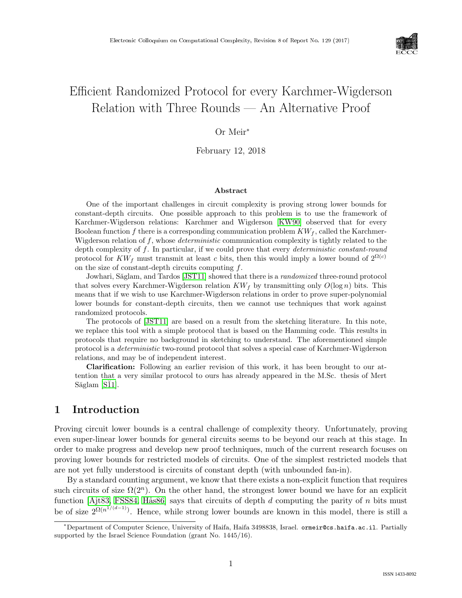

# Efficient Randomized Protocol for every Karchmer-Wigderson Relation with Three Rounds — An Alternative Proof

### Or Meir<sup>∗</sup>

February 12, 2018

#### Abstract

One of the important challenges in circuit complexity is proving strong lower bounds for constant-depth circuits. One possible approach to this problem is to use the framework of Karchmer-Wigderson relations: Karchmer and Wigderson [\[KW90\]](#page--1-0) observed that for every Boolean function f there is a corresponding communication problem  $KW_f$ , called the Karchmer-Wigderson relation of  $f$ , whose *deterministic* communication complexity is tightly related to the depth complexity of f. In particular, if we could prove that every *deterministic constant-round* protocol for  $KW_f$  must transmit at least c bits, then this would imply a lower bound of  $2^{\Omega(c)}$ on the size of constant-depth circuits computing  $f$ .

Jowhari, Săglam, and Tardos [\[JST11\]](#page--1-1) showed that there is a *randomized* three-round protocol that solves every Karchmer-Wigderson relation  $KW_f$  by transmitting only  $O(\log n)$  bits. This means that if we wish to use Karchmer-Wigderson relations in order to prove super-polynomial lower bounds for constant-depth circuits, then we cannot use techniques that work against randomized protocols.

The protocols of [\[JST11\]](#page--1-1) are based on a result from the sketching literature. In this note, we replace this tool with a simple protocol that is based on the Hamming code. This results in protocols that require no background in sketching to understand. The aforementioned simple protocol is a deterministic two-round protocol that solves a special case of Karchmer-Wigderson relations, and may be of independent interest.

Clarification: Following an earlier revision of this work, it has been brought to our attention that a very similar protocol to ours has already appeared in the M.Sc. thesis of Mert  $Săglam [Si1]$ .

### 1 Introduction

Proving circuit lower bounds is a central challenge of complexity theory. Unfortunately, proving even super-linear lower bounds for general circuits seems to be beyond our reach at this stage. In order to make progress and develop new proof techniques, much of the current research focuses on proving lower bounds for restricted models of circuits. One of the simplest restricted models that are not yet fully understood is circuits of constant depth (with unbounded fan-in).

By a standard counting argument, we know that there exists a non-explicit function that requires such circuits of size  $\Omega(2^n)$ . On the other hand, the strongest lower bound we have for an explicit function [\[Ajt83,](#page--1-3) [FSS84,](#page--1-4) Hås86] says that circuits of depth d computing the parity of n bits must be of size  $2^{\Omega(n^{1/(d-1)})}$ . Hence, while strong lower bounds are known in this model, there is still a

<sup>∗</sup>Department of Computer Science, University of Haifa, Haifa 3498838, Israel. ormeir@cs.haifa.ac.il. Partially supported by the Israel Science Foundation (grant No. 1445/16).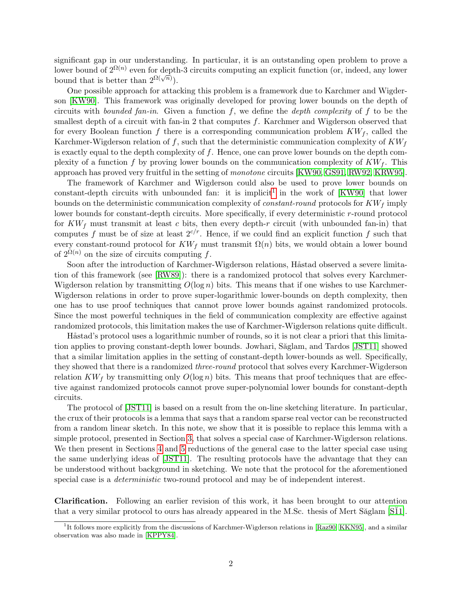significant gap in our understanding. In particular, it is an outstanding open problem to prove a lower bound of  $2^{\Omega(n)}$  even for depth-3 circuits computing an explicit function (or, indeed, any lower bound that is better than  $2^{\Omega(\sqrt{n})}$ ).

One possible approach for attacking this problem is a framework due to Karchmer and Wigderson [\[KW90\]](#page-7-0). This framework was originally developed for proving lower bounds on the depth of circuits with *bounded fan-in*. Given a function  $f$ , we define the *depth complexity* of  $f$  to be the smallest depth of a circuit with fan-in 2 that computes  $f$ . Karchmer and Wigderson observed that for every Boolean function f there is a corresponding communication problem  $KW_f$ , called the Karchmer-Wigderson relation of f, such that the deterministic communication complexity of  $KW<sub>f</sub>$ is exactly equal to the depth complexity of  $f$ . Hence, one can prove lower bounds on the depth complexity of a function f by proving lower bounds on the communication complexity of  $KW_f$ . This approach has proved very fruitful in the setting of monotone circuits [\[KW90,](#page-7-0) [GS91,](#page-6-0) [RW92,](#page-7-1) [KRW95\]](#page-7-2).

The framework of Karchmer and Wigderson could also be used to prove lower bounds on constant-depth circuits with unbounded fan: it is implicit<sup>[1](#page-1-0)</sup> in the work of  $[KW90]$  that lower bounds on the deterministic communication complexity of *constant-round* protocols for  $KW<sub>f</sub>$  imply lower bounds for constant-depth circuits. More specifically, if every deterministic r-round protocol for  $KW_f$  must transmit at least c bits, then every depth-r circuit (with unbounded fan-in) that computes f must be of size at least  $2^{c/r}$ . Hence, if we could find an explicit function f such that every constant-round protocol for  $KW_f$  must transmit  $\Omega(n)$  bits, we would obtain a lower bound of  $2^{\Omega(n)}$  on the size of circuits computing f.

Soon after the introduction of Karchmer-Wigderson relations, Håstad observed a severe limitation of this framework (see [\[RW89\]](#page-7-3)): there is a randomized protocol that solves every Karchmer-Wigderson relation by transmitting  $O(\log n)$  bits. This means that if one wishes to use Karchmer-Wigderson relations in order to prove super-logarithmic lower-bounds on depth complexity, then one has to use proof techniques that cannot prove lower bounds against randomized protocols. Since the most powerful techniques in the field of communication complexity are effective against randomized protocols, this limitation makes the use of Karchmer-Wigderson relations quite difficult.

Håstad's protocol uses a logarithmic number of rounds, so it is not clear a priori that this limita-tion applies to proving constant-depth lower bounds. Jowhari, Săglam, and Tardos [\[JST11\]](#page-7-4) showed that a similar limitation applies in the setting of constant-depth lower-bounds as well. Specifically, they showed that there is a randomized *three-round* protocol that solves every Karchmer-Wigderson relation  $KW_f$  by transmitting only  $O(\log n)$  bits. This means that proof techniques that are effective against randomized protocols cannot prove super-polynomial lower bounds for constant-depth circuits.

The protocol of [\[JST11\]](#page-7-4) is based on a result from the on-line sketching literature. In particular, the crux of their protocols is a lemma that says that a random sparse real vector can be reconstructed from a random linear sketch. In this note, we show that it is possible to replace this lemma with a simple protocol, presented in Section [3,](#page-3-0) that solves a special case of Karchmer-Wigderson relations. We then present in Sections [4](#page-5-0) and [5](#page-5-1) reductions of the general case to the latter special case using the same underlying ideas of [\[JST11\]](#page-7-4). The resulting protocols have the advantage that they can be understood without background in sketching. We note that the protocol for the aforementioned special case is a *deterministic* two-round protocol and may be of independent interest.

Clarification. Following an earlier revision of this work, it has been brought to our attention that a very similar protocol to ours has already appeared in the M.Sc. thesis of Mert Săglam [S $11$ ].

<span id="page-1-0"></span><sup>&</sup>lt;sup>1</sup>It follows more explicitly from the discussions of Karchmer-Wigderson relations in [\[Raz90,](#page-7-6) [KKN95\]](#page-7-7), and a similar observation was also made in [\[KPPY84\]](#page-7-8).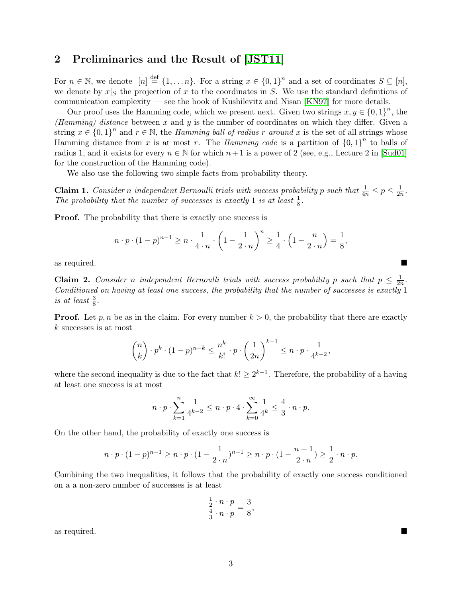## 2 Preliminaries and the Result of [\[JST11\]](#page-7-4)

For  $n \in \mathbb{N}$ , we denote  $[n] \stackrel{\text{def}}{=} \{1, \ldots n\}$ . For a string  $x \in \{0,1\}^n$  and a set of coordinates  $S \subseteq [n]$ , we denote by  $x|_S$  the projection of x to the coordinates in S. We use the standard definitions of communication complexity — see the book of Kushilevitz and Nisan [\[KN97\]](#page-7-9) for more details.

Our proof uses the Hamming code, which we present next. Given two strings  $x, y \in \{0,1\}^n$ , the (Hamming) distance between x and y is the number of coordinates on which they differ. Given a string  $x \in \{0,1\}^n$  and  $r \in \mathbb{N}$ , the *Hamming ball of radius r around* x is the set of all strings whose Hamming distance from x is at most r. The *Hamming code* is a partition of  ${0,1}^n$  to balls of radius 1, and it exists for every  $n \in \mathbb{N}$  for which  $n+1$  is a power of 2 (see, e.g., Lecture 2 in [\[Sud01\]](#page-7-10) for the construction of the Hamming code).

We also use the following two simple facts from probability theory.

<span id="page-2-0"></span>**Claim 1.** Consider n independent Bernoulli trials with success probability p such that  $\frac{1}{4n} \leq p \leq \frac{1}{2n}$  $\frac{1}{2n}$ . The probability that the number of successes is exactly 1 is at least  $\frac{1}{8}$ .

**Proof.** The probability that there is exactly one success is

$$
n \cdot p \cdot (1-p)^{n-1} \ge n \cdot \frac{1}{4 \cdot n} \cdot \left(1 - \frac{1}{2 \cdot n}\right)^n \ge \frac{1}{4} \cdot \left(1 - \frac{n}{2 \cdot n}\right) = \frac{1}{8},
$$

as required.

<span id="page-2-1"></span>**Claim 2.** Consider n independent Bernoulli trials with success probability p such that  $p \leq \frac{1}{2p}$  $\frac{1}{2n}$ . Conditioned on having at least one success, the probability that the number of successes is exactly 1 is at least  $\frac{3}{8}$ .

**Proof.** Let p, n be as in the claim. For every number  $k > 0$ , the probability that there are exactly k successes is at most

$$
\binom{n}{k} \cdot p^k \cdot (1-p)^{n-k} \le \frac{n^k}{k!} \cdot p \cdot \left(\frac{1}{2n}\right)^{k-1} \le n \cdot p \cdot \frac{1}{4^{k-2}},
$$

where the second inequality is due to the fact that  $k! \geq 2^{k-1}$ . Therefore, the probability of a having at least one success is at most

$$
n\cdot p\cdot \sum_{k=1}^n \frac{1}{4^{k-2}} \leq n\cdot p\cdot 4\cdot \sum_{k=0}^\infty \frac{1}{4^k} \leq \frac{4}{3}\cdot n\cdot p.
$$

On the other hand, the probability of exactly one success is

$$
n \cdot p \cdot (1-p)^{n-1} \ge n \cdot p \cdot (1-\frac{1}{2 \cdot n})^{n-1} \ge n \cdot p \cdot (1-\frac{n-1}{2 \cdot n}) \ge \frac{1}{2} \cdot n \cdot p.
$$

Combining the two inequalities, it follows that the probability of exactly one success conditioned on a a non-zero number of successes is at least

$$
\frac{\frac{1}{2} \cdot n \cdot p}{\frac{4}{3} \cdot n \cdot p} = \frac{3}{8},
$$

as required.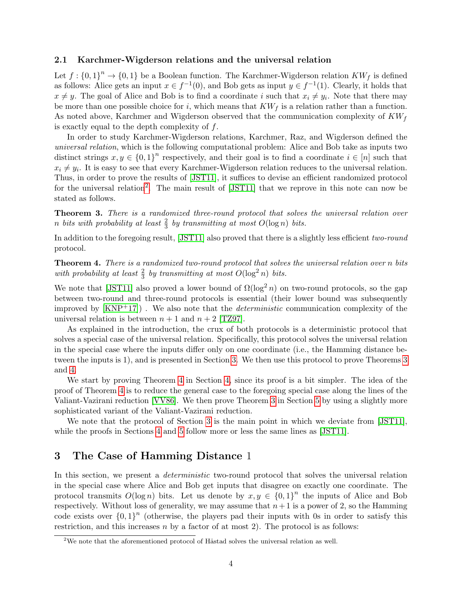### 2.1 Karchmer-Wigderson relations and the universal relation

Let  $f: \{0,1\}^n \to \{0,1\}$  be a Boolean function. The Karchmer-Wigderson relation  $KW_f$  is defined as follows: Alice gets an input  $x \in f^{-1}(0)$ , and Bob gets as input  $y \in f^{-1}(1)$ . Clearly, it holds that  $x \neq y$ . The goal of Alice and Bob is to find a coordinate i such that  $x_i \neq y_i$ . Note that there may be more than one possible choice for i, which means that  $KW<sub>f</sub>$  is a relation rather than a function. As noted above, Karchmer and Wigderson observed that the communication complexity of  $KW<sub>f</sub>$ is exactly equal to the depth complexity of  $f$ .

In order to study Karchmer-Wigderson relations, Karchmer, Raz, and Wigderson defined the universal relation, which is the following computational problem: Alice and Bob take as inputs two distinct strings  $x, y \in \{0,1\}^n$  respectively, and their goal is to find a coordinate  $i \in [n]$  such that  $x_i \neq y_i$ . It is easy to see that every Karchmer-Wigderson relation reduces to the universal relation. Thus, in order to prove the results of [\[JST11\]](#page-7-4), it suffices to devise an efficient randomized protocol for the universal relation<sup>[2](#page-3-1)</sup>. The main result of [\[JST11\]](#page-7-4) that we reprove in this note can now be stated as follows.

<span id="page-3-2"></span>Theorem 3. There is a randomized three-round protocol that solves the universal relation over n bits with probability at least  $\frac{2}{3}$  by transmitting at most  $O(\log n)$  bits.

In addition to the foregoing result, [\[JST11\]](#page-7-4) also proved that there is a slightly less efficient two-round protocol.

<span id="page-3-3"></span>Theorem 4. There is a randomized two-round protocol that solves the universal relation over n bits with probability at least  $\frac{2}{3}$  by transmitting at most  $O(\log^2 n)$  bits.

We note that [\[JST11\]](#page-7-4) also proved a lower bound of  $\Omega(\log^2 n)$  on two-round protocols, so the gap between two-round and three-round protocols is essential (their lower bound was subsequently improved by  $\text{[KNP+17]}$  $\text{[KNP+17]}$  $\text{[KNP+17]}$ . We also note that the *deterministic* communication complexity of the universal relation is between  $n + 1$  and  $n + 2$  [\[TZ97\]](#page-7-12).

As explained in the introduction, the crux of both protocols is a deterministic protocol that solves a special case of the universal relation. Specifically, this protocol solves the universal relation in the special case where the inputs differ only on one coordinate (i.e., the Hamming distance between the inputs is 1), and is presented in Section [3.](#page-3-0) We then use this protocol to prove Theorems [3](#page-3-2) and [4.](#page-3-3)

We start by proving Theorem [4](#page-3-3) in Section [4,](#page-5-0) since its proof is a bit simpler. The idea of the proof of Theorem [4](#page-3-3) is to reduce the general case to the foregoing special case along the lines of the Valiant-Vazirani reduction [\[VV86\]](#page--1-5). We then prove Theorem [3](#page-3-2) in Section [5](#page-5-1) by using a slightly more sophisticated variant of the Valiant-Vazirani reduction.

We note that the protocol of Section [3](#page-3-0) is the main point in which we deviate from [\[JST11\]](#page-7-4), while the proofs in Sections [4](#page-5-0) and [5](#page-5-1) follow more or less the same lines as [\[JST11\]](#page-7-4).

### <span id="page-3-0"></span>3 The Case of Hamming Distance 1

In this section, we present a *deterministic* two-round protocol that solves the universal relation in the special case where Alice and Bob get inputs that disagree on exactly one coordinate. The protocol transmits  $O(\log n)$  bits. Let us denote by  $x, y \in \{0,1\}^n$  the inputs of Alice and Bob respectively. Without loss of generality, we may assume that  $n+1$  is a power of 2, so the Hamming code exists over  ${0,1}^n$  (otherwise, the players pad their inputs with 0s in order to satisfy this restriction, and this increases  $n$  by a factor of at most 2). The protocol is as follows:

<span id="page-3-1"></span> $2$ We note that the aforementioned protocol of Håstad solves the universal relation as well.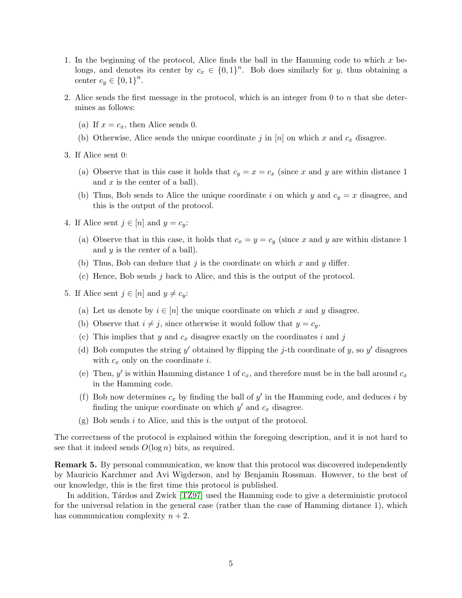- 1. In the beginning of the protocol, Alice finds the ball in the Hamming code to which x belongs, and denotes its center by  $c_x \in \{0,1\}^n$ . Bob does similarly for y, thus obtaining a center  $c_y \in \{0,1\}^n$ .
- 2. Alice sends the first message in the protocol, which is an integer from 0 to n that she determines as follows:
	- (a) If  $x = c_x$ , then Alice sends 0.
	- (b) Otherwise, Alice sends the unique coordinate j in [n] on which x and  $c_x$  disagree.
- 3. If Alice sent 0:
	- (a) Observe that in this case it holds that  $c_y = x = c_x$  (since x and y are within distance 1) and  $x$  is the center of a ball).
	- (b) Thus, Bob sends to Alice the unique coordinate i on which y and  $c_y = x$  disagree, and this is the output of the protocol.
- 4. If Alice sent  $j \in [n]$  and  $y = c_y$ :
	- (a) Observe that in this case, it holds that  $c_x = y = c_y$  (since x and y are within distance 1) and  $y$  is the center of a ball).
	- (b) Thus, Bob can deduce that j is the coordinate on which x and y differ.
	- (c) Hence, Bob sends j back to Alice, and this is the output of the protocol.
- 5. If Alice sent  $j \in [n]$  and  $y \neq c_y$ :
	- (a) Let us denote by  $i \in [n]$  the unique coordinate on which x and y disagree.
	- (b) Observe that  $i \neq j$ , since otherwise it would follow that  $y = c_y$ .
	- (c) This implies that y and  $c_x$  disagree exactly on the coordinates i and j
	- (d) Bob computes the string y' obtained by flipping the j-th coordinate of y, so y' disagrees with  $c_x$  only on the coordinate *i*.
	- (e) Then, y' is within Hamming distance 1 of  $c_x$ , and therefore must be in the ball around  $c_x$ in the Hamming code.
	- (f) Bob now determines  $c_x$  by finding the ball of  $y'$  in the Hamming code, and deduces i by finding the unique coordinate on which  $y'$  and  $c_x$  disagree.
	- $(g)$  Bob sends i to Alice, and this is the output of the protocol.

The correctness of the protocol is explained within the foregoing description, and it is not hard to see that it indeed sends  $O(\log n)$  bits, as required.

Remark 5. By personal communication, we know that this protocol was discovered independently by Mauricio Karchmer and Avi Wigderson, and by Benjamin Rossman. However, to the best of our knowledge, this is the first time this protocol is published.

In addition, Tardos and Zwick [\[TZ97\]](#page-7-12) used the Hamming code to give a deterministic protocol for the universal relation in the general case (rather than the case of Hamming distance 1), which has communication complexity  $n + 2$ .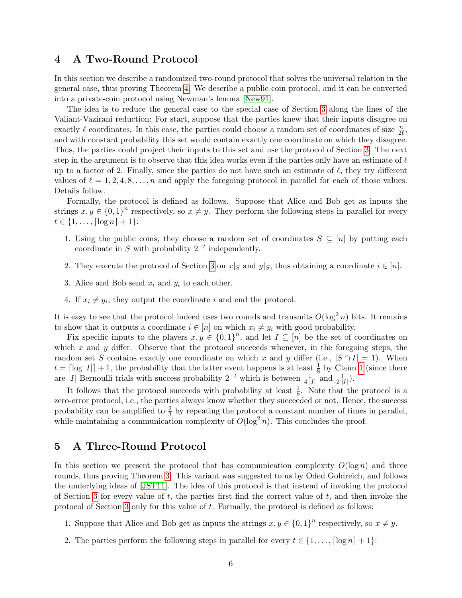### <span id="page-5-0"></span>4 A Two-Round Protocol

In this section we describe a randomized two-round protocol that solves the universal relation in the general case, thus proving Theorem [4.](#page-3-3) We describe a public-coin protocol, and it can be converted into a private-coin protocol using Newman's lemma [\[New91\]](#page-7-13).

The idea is to reduce the general case to the special case of Section [3](#page-3-0) along the lines of the Valiant-Vazirani reduction: For start, suppose that the parties knew that their inputs disagree on exactly  $\ell$  coordinates. In this case, the parties could choose a random set of coordinates of size  $\frac{n}{2\ell}$ , and with constant probability this set would contain exactly one coordinate on which they disagree. Thus, the parties could project their inputs to this set and use the protocol of Section [3.](#page-3-0) The next step in the argument is to observe that this idea works even if the parties only have an estimate of  $\ell$ up to a factor of 2. Finally, since the parties do not have such an estimate of  $\ell$ , they try different values of  $\ell = 1, 2, 4, 8, \ldots, n$  and apply the foregoing protocol in parallel for each of those values. Details follow.

Formally, the protocol is defined as follows. Suppose that Alice and Bob get as inputs the strings  $x, y \in \{0, 1\}^n$  respectively, so  $x \neq y$ . They perform the following steps in parallel for every  $t \in \{1, \ldots, \lceil \log n \rceil + 1\}$ :

- 1. Using the public coins, they choose a random set of coordinates  $S \subseteq [n]$  by putting each coordinate in S with probability  $2^{-t}$  independently.
- 2. They execute the protocol of Section [3](#page-3-0) on  $x|_S$  and  $y|_S$ , thus obtaining a coordinate  $i \in [n]$ .
- 3. Alice and Bob send  $x_i$  and  $y_i$  to each other.
- 4. If  $x_i \neq y_i$ , they output the coordinate i and end the protocol.

It is easy to see that the protocol indeed uses two rounds and transmits  $O(\log^2 n)$  bits. It remains to show that it outputs a coordinate  $i \in [n]$  on which  $x_i \neq y_i$  with good probability.

Fix specific inputs to the players  $x, y \in \{0,1\}^n$ , and let  $I \subseteq [n]$  be the set of coordinates on which x and y differ. Observe that the protocol succeeds whenever, in the foregoing steps, the random set S contains exactly one coordinate on which x and y differ (i.e.,  $|S \cap I| = 1$ ). When  $t = \lceil \log |I| \rceil + 1$  $t = \lceil \log |I| \rceil + 1$ , the probability that the latter event happens is at least  $\frac{1}{8}$  by Claim 1 (since there are |I| Bernoulli trials with success probability  $2^{-t}$  which is between  $\frac{1}{4\cdot |I|}$  and  $\frac{1}{2\cdot |I|}$ ).

It follows that the protocol succeeds with probability at least  $\frac{1}{8}$ . Note that the protocol is a zero-error protocol, i.e., the parties always know whether they succeeded or not. Hence, the success probability can be amplified to  $\frac{2}{3}$  by repeating the protocol a constant number of times in parallel, while maintaining a communication complexity of  $O(\log^2 n)$ . This concludes the proof.

### <span id="page-5-1"></span>5 A Three-Round Protocol

In this section we present the protocol that has communication complexity  $O(\log n)$  and three rounds, thus proving Theorem [3.](#page-3-2) This variant was suggested to us by Oded Goldreich, and follows the underlying ideas of [\[JST11\]](#page-7-4). The idea of this protocol is that instead of invoking the protocol of Section [3](#page-3-0) for every value of  $t$ , the parties first find the correct value of  $t$ , and then invoke the protocol of Section [3](#page-3-0) only for this value of t. Formally, the protocol is defined as follows:

- 1. Suppose that Alice and Bob get as inputs the strings  $x, y \in \{0, 1\}^n$  respectively, so  $x \neq y$ .
- <span id="page-5-2"></span>2. The parties perform the following steps in parallel for every  $t \in \{1, \ldots, \lceil \log n \rceil + 1\}$ :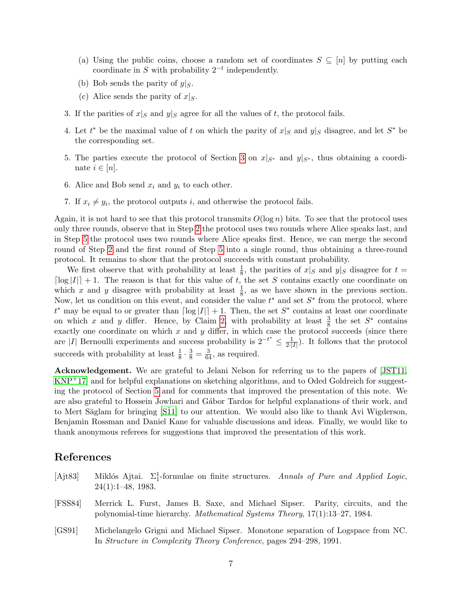- (a) Using the public coins, choose a random set of coordinates  $S \subseteq [n]$  by putting each coordinate in S with probability  $2^{-t}$  independently.
- (b) Bob sends the parity of  $y|_S$ .
- (c) Alice sends the parity of  $x|_S$ .
- 3. If the parities of  $x|_S$  and  $y|_S$  agree for all the values of t, the protocol fails.
- 4. Let  $t^*$  be the maximal value of t on which the parity of  $x|_S$  and  $y|_S$  disagree, and let  $S^*$  be the corresponding set.
- <span id="page-6-1"></span>5. The parties execute the protocol of Section [3](#page-3-0) on  $x|_{S^*}$  and  $y|_{S^*}$ , thus obtaining a coordinate  $i \in [n]$ .
- 6. Alice and Bob send  $x_i$  and  $y_i$  to each other.
- 7. If  $x_i \neq y_i$ , the protocol outputs i, and otherwise the protocol fails.

Again, it is not hard to see that this protocol transmits  $O(\log n)$  bits. To see that the protocol uses only three rounds, observe that in Step [2](#page-5-2) the protocol uses two rounds where Alice speaks last, and in Step [5](#page-6-1) the protocol uses two rounds where Alice speaks first. Hence, we can merge the second round of Step [2](#page-5-2) and the first round of Step [5](#page-6-1) into a single round, thus obtaining a three-round protocol. It remains to show that the protocol succeeds with constant probability.

We first observe that with probability at least  $\frac{1}{8}$ , the parities of  $x|_S$  and  $y|_S$  disagree for  $t =$  $\lceil \log |I| \rceil + 1$ . The reason is that for this value of t, the set S contains exactly one coordinate on which x and y disagree with probability at least  $\frac{1}{8}$ , as we have shown in the previous section. Now, let us condition on this event, and consider the value  $t^*$  and set  $S^*$  from the protocol, where  $t^*$  may be equal to or greater than  $\lceil \log |I| \rceil + 1$ . Then, the set  $S^*$  contains at least one coordinate on which x and y differ. Hence, by Claim [2,](#page-2-1) with probability at least  $\frac{3}{8}$  the set  $S^*$  contains exactly one coordinate on which  $x$  and  $y$  differ, in which case the protocol succeeds (since there are |I| Bernoulli experiments and success probability is  $2^{-t^*} \leq \frac{1}{2!}$  $\frac{1}{2\cdot|I|}$ ). It follows that the protocol succeeds with probability at least  $\frac{1}{8} \cdot \frac{3}{8} = \frac{3}{64}$ , as required.

Acknowledgement. We are grateful to Jelani Nelson for referring us to the papers of [\[JST11,](#page-7-4) [KNP](#page-7-11)+17] and for helpful explanations on sketching algorithms, and to Oded Goldreich for suggesting the protocol of Section [5](#page-5-1) and for comments that improved the presentation of this note. We are also grateful to Hossein Jowhari and Gábor Tardos for helpful explanations of their work, and to Mert Săglam for bringing [S $11$ ] to our attention. We would also like to thank Avi Wigderson, Benjamin Rossman and Daniel Kane for valuable discussions and ideas. Finally, we would like to thank anonymous referees for suggestions that improved the presentation of this work.

### References

- [Ajt83] Miklós Ajtai.  $\Sigma_1^1$ -formulae on finite structures. Annals of Pure and Applied Logic, 24(1):1–48, 1983.
- [FSS84] Merrick L. Furst, James B. Saxe, and Michael Sipser. Parity, circuits, and the polynomial-time hierarchy. Mathematical Systems Theory, 17(1):13–27, 1984.
- <span id="page-6-0"></span>[GS91] Michelangelo Grigni and Michael Sipser. Monotone separation of Logspace from NC. In Structure in Complexity Theory Conference, pages 294–298, 1991.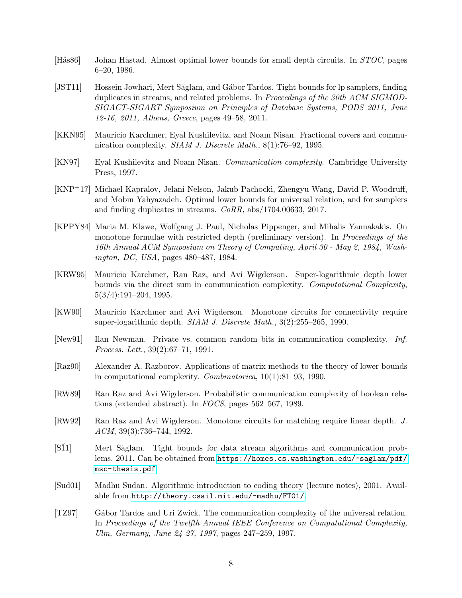- [Hås86] Johan Håstad. Almost optimal lower bounds for small depth circuits. In STOC, pages 6–20, 1986.
- <span id="page-7-4"></span>[JST11] Hossein Jowhari, Mert Săglam, and Gábor Tardos. Tight bounds for lp samplers, finding duplicates in streams, and related problems. In Proceedings of the 30th ACM SIGMOD-SIGACT-SIGART Symposium on Principles of Database Systems, PODS 2011, June 12-16, 2011, Athens, Greece, pages 49–58, 2011.
- <span id="page-7-7"></span>[KKN95] Mauricio Karchmer, Eyal Kushilevitz, and Noam Nisan. Fractional covers and communication complexity. SIAM J. Discrete Math., 8(1):76–92, 1995.
- <span id="page-7-9"></span>[KN97] Eyal Kushilevitz and Noam Nisan. Communication complexity. Cambridge University Press, 1997.
- <span id="page-7-11"></span>[KNP+17] Michael Kapralov, Jelani Nelson, Jakub Pachocki, Zhengyu Wang, David P. Woodruff, and Mobin Yahyazadeh. Optimal lower bounds for universal relation, and for samplers and finding duplicates in streams. CoRR, abs/1704.00633, 2017.
- <span id="page-7-8"></span>[KPPY84] Maria M. Klawe, Wolfgang J. Paul, Nicholas Pippenger, and Mihalis Yannakakis. On monotone formulae with restricted depth (preliminary version). In *Proceedings of the* 16th Annual ACM Symposium on Theory of Computing, April 30 - May 2, 1984, Washington, DC, USA, pages 480–487, 1984.
- <span id="page-7-2"></span>[KRW95] Mauricio Karchmer, Ran Raz, and Avi Wigderson. Super-logarithmic depth lower bounds via the direct sum in communication complexity. Computational Complexity, 5(3/4):191–204, 1995.
- <span id="page-7-0"></span>[KW90] Mauricio Karchmer and Avi Wigderson. Monotone circuits for connectivity require super-logarithmic depth. SIAM J. Discrete Math., 3(2):255–265, 1990.
- <span id="page-7-13"></span>[New91] Ilan Newman. Private vs. common random bits in communication complexity. Inf. Process. Lett., 39(2):67–71, 1991.
- <span id="page-7-6"></span>[Raz90] Alexander A. Razborov. Applications of matrix methods to the theory of lower bounds in computational complexity. Combinatorica, 10(1):81–93, 1990.
- <span id="page-7-3"></span>[RW89] Ran Raz and Avi Wigderson. Probabilistic communication complexity of boolean relations (extended abstract). In FOCS, pages 562–567, 1989.
- <span id="page-7-1"></span>[RW92] Ran Raz and Avi Wigderson. Monotone circuits for matching require linear depth. J. ACM, 39(3):736–744, 1992.
- <span id="page-7-5"></span>[S $11$ ] Mert Saglam. Tight bounds for data stream algorithms and communication problems. 2011. Can be obtained from [https://homes.cs.washington.edu/~saglam/pdf/](https://homes.cs.washington.edu/~saglam/pdf/msc-thesis.pdf) [msc-thesis.pdf](https://homes.cs.washington.edu/~saglam/pdf/msc-thesis.pdf).
- <span id="page-7-10"></span>[Sud01] Madhu Sudan. Algorithmic introduction to coding theory (lecture notes), 2001. Available from <http://theory.csail.mit.edu/~madhu/FT01/>.
- <span id="page-7-12"></span>[TZ97] Gábor Tardos and Uri Zwick. The communication complexity of the universal relation. In Proceedings of the Twelfth Annual IEEE Conference on Computational Complexity, Ulm, Germany, June 24-27, 1997, pages 247–259, 1997.